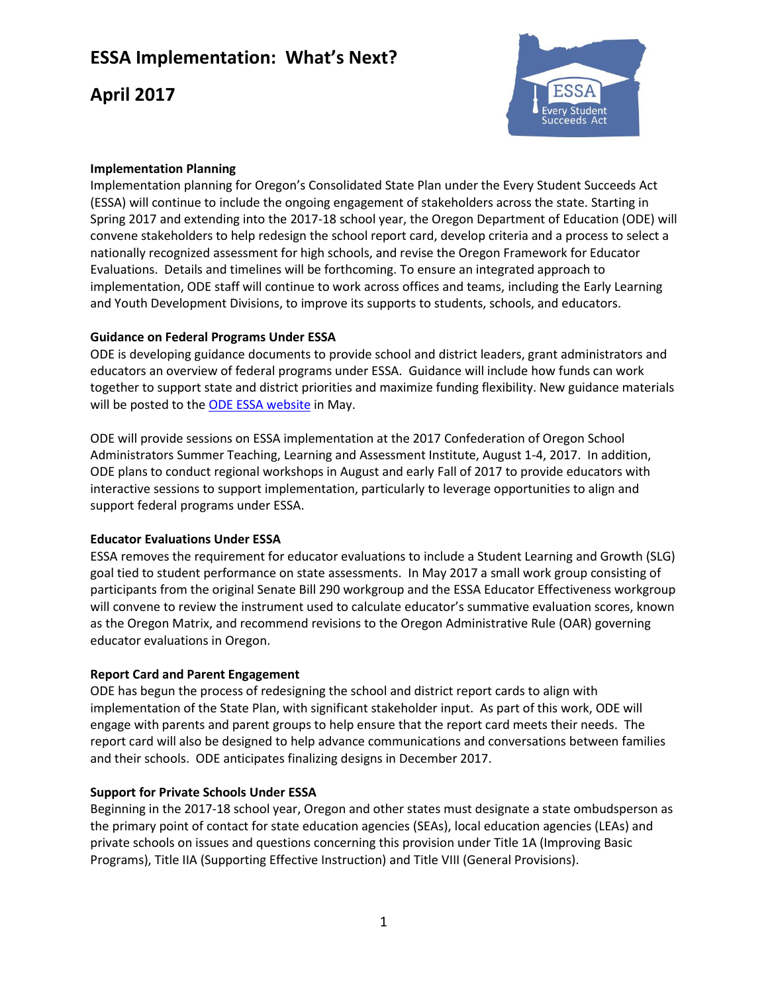# **ESSA Implementation: What's Next?**

# **April 2017**



## **Implementation Planning**

Implementation planning for Oregon's Consolidated State Plan under the Every Student Succeeds Act (ESSA) will continue to include the ongoing engagement of stakeholders across the state. Starting in Spring 2017 and extending into the 2017-18 school year, the Oregon Department of Education (ODE) will convene stakeholders to help redesign the school report card, develop criteria and a process to select a nationally recognized assessment for high schools, and revise the Oregon Framework for Educator Evaluations. Details and timelines will be forthcoming. To ensure an integrated approach to implementation, ODE staff will continue to work across offices and teams, including the Early Learning and Youth Development Divisions, to improve its supports to students, schools, and educators.

### **Guidance on Federal Programs Under ESSA**

ODE is developing guidance documents to provide school and district leaders, grant administrators and educators an overview of federal programs under ESSA. Guidance will include how funds can work together to support state and district priorities and maximize funding flexibility. New guidance materials will be posted to the **ODE ESSA website** in May.

ODE will provide sessions on ESSA implementation at the 2017 Confederation of Oregon School Administrators Summer Teaching, Learning and Assessment Institute, August 1-4, 2017. In addition, ODE plans to conduct regional workshops in August and early Fall of 2017 to provide educators with interactive sessions to support implementation, particularly to leverage opportunities to align and support federal programs under ESSA.

### **Educator Evaluations Under ESSA**

ESSA removes the requirement for educator evaluations to include a Student Learning and Growth (SLG) goal tied to student performance on state assessments. In May 2017 a small work group consisting of participants from the original Senate Bill 290 workgroup and the ESSA Educator Effectiveness workgroup will convene to review the instrument used to calculate educator's summative evaluation scores, known as the Oregon Matrix, and recommend revisions to the Oregon Administrative Rule (OAR) governing educator evaluations in Oregon.

### **Report Card and Parent Engagement**

ODE has begun the process of redesigning the school and district report cards to align with implementation of the State Plan, with significant stakeholder input. As part of this work, ODE will engage with parents and parent groups to help ensure that the report card meets their needs. The report card will also be designed to help advance communications and conversations between families and their schools. ODE anticipates finalizing designs in December 2017.

### **Support for Private Schools Under ESSA**

Beginning in the 2017-18 school year, Oregon and other states must designate a state ombudsperson as the primary point of contact for state education agencies (SEAs), local education agencies (LEAs) and private schools on issues and questions concerning this provision under Title 1A (Improving Basic Programs), Title IIA (Supporting Effective Instruction) and Title VIII (General Provisions).